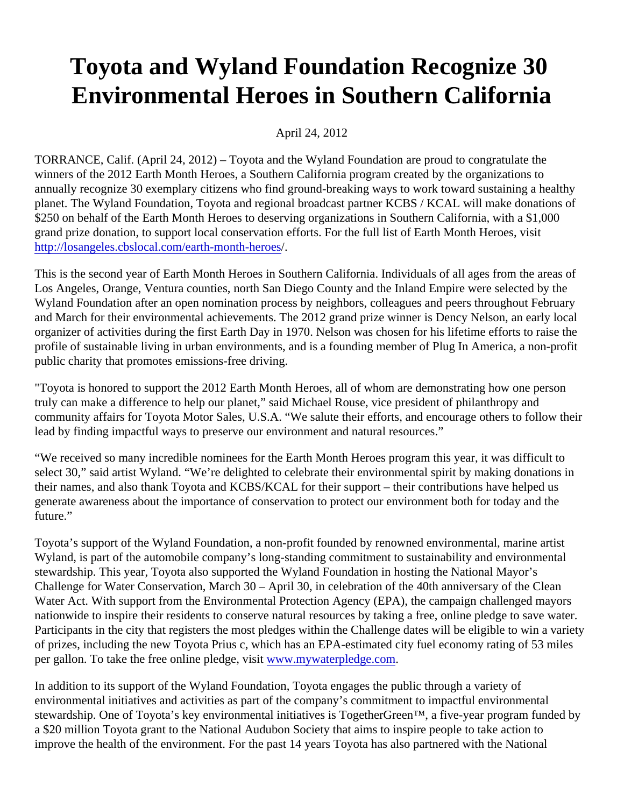## Toyota and Wyland Foundation Recognize 30 Environmental Heroes in Southern California

April 24, 2012

TORRANCE, Calif. (April 24, 2012) – Toyota and the Wyland Foundation are proud to congratulate the winners of the 2012 Earth Month Heroes, a Southern California program created by the organizations to annually recognize 30 exemplary citizens who find ground-breaking ways to work toward sustaining a healthy planet. The Wyland Foundation, Toyota and regional broadcast partner KCBS / KCAL will make donations of \$250 on behalf of the Earth Month Heroes to deserving organizations in Southern California, with a \$1,000 grand prize donation, to support local conservation efforts. For the full list of Earth Month Heroes, visit [http://losangeles.cbslocal.com/earth-month-he](http://losangeles.cbslocal.com/earth-month-heroes)roes

This is the second year of Earth Month Heroes in Southern California. Individuals of all ages from the areas o Los Angeles, Orange, Ventura counties, north San Diego County and the Inland Empire were selected by the Wyland Foundation after an open nomination process by neighbors, colleagues and peers throughout February and March for their environmental achievements. The 2012 grand prize winner is Dency Nelson, an early local organizer of activities during the first Earth Day in 1970. Nelson was chosen for his lifetime efforts to raise the profile of sustainable living in urban environments, and is a founding member of Plug In America, a non-profit public charity that promotes emissions-free driving.

"Toyota is honored to support the 2012 Earth Month Heroes, all of whom are demonstrating how one person truly can make a difference to help our planet," said Michael Rouse, vice president of philanthropy and community affairs for Toyota Motor Sales, U.S.A. "We salute their efforts, and encourage others to follow their lead by finding impactful ways to preserve our environment and natural resources."

"We received so many incredible nominees for the Earth Month Heroes program this year, it was difficult to select 30," said artist Wyland. "We're delighted to celebrate their environmental spirit by making donations in their names, and also thank Toyota and KCBS/KCAL for their support – their contributions have helped us generate awareness about the importance of conservation to protect our environment both for today and the future."

Toyota's support of the Wyland Foundation, a non-profit founded by renowned environmental, marine artist Wyland, is part of the automobile company's long-standing commitment to sustainability and environmental stewardship. This year, Toyota also supported the Wyland Foundation in hosting the National Mayor's Challenge for Water Conservation, March 30 – April 30, in celebration of the 40th anniversary of the Clean Water Act. With support from the Environmental Protection Agency (EPA), the campaign challenged mayors nationwide to inspire their residents to conserve natural resources by taking a free, online pledge to save wat Participants in the city that registers the most pledges within the Challenge dates will be eligible to win a varie of prizes, including the new Toyota Prius c, which has an EPA-estimated city fuel economy rating of 53 miles per gallon. To take the free online pledge, visitw.mywaterpledge.com

In addition to its support of the Wyland Foundation, Toyota engages the public through a variety of environmental initiatives and activities as part of the company's commitment to impactful environmental stewardship. One of Toyota's key environmental initiatives is TogetherGreen™, a five-year program funded b a \$20 million Toyota grant to the National Audubon Society that aims to inspire people to take action to improve the health of the environment. For the past 14 years Toyota has also partnered with the National